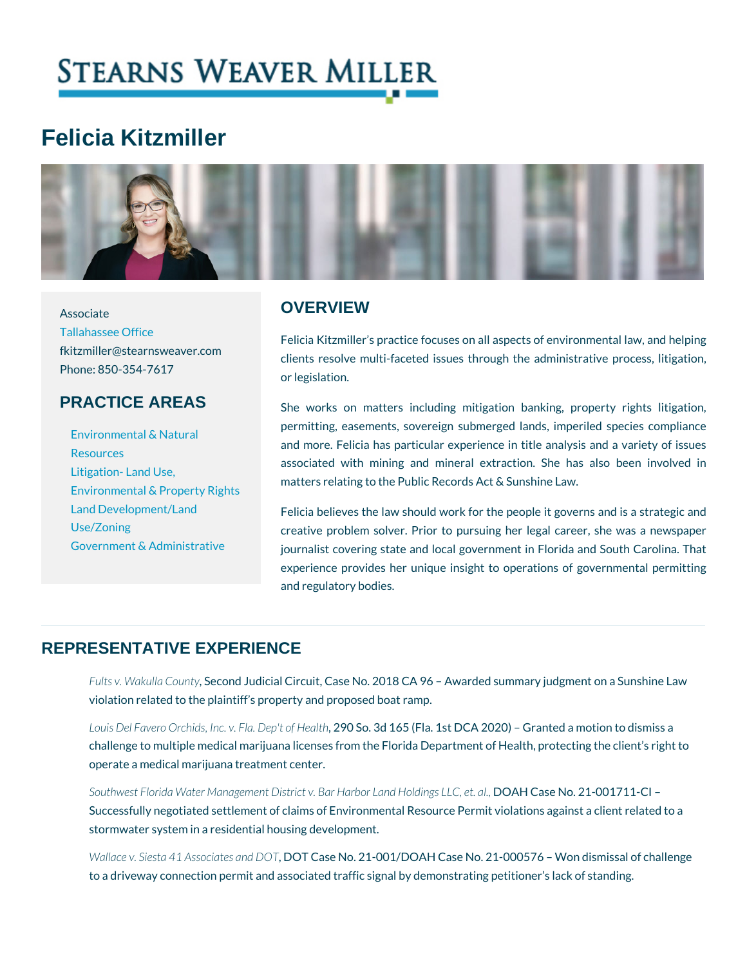# Felicia Kitzmiller

#### **OVERVIEW**

[Tallahassee](https://www.stearnsweaver.com/offices/tallahassee/) Office fkitzmiller@stearnsweaver.com<br>clients resolve multi-faceted issues through the admi Phone: 850-354-7617 Felicia Kitzmiller s practice focuses on all aspects of or legislation.

## PRACTICE AREAS

Associate

[Environmental &](https://www.stearnsweaver.com/practices/land-development-zoning-environmental-law/natural-resources/) Natural [Resour](https://www.stearnsweaver.com/practices/land-development-zoning-environmental-law/natural-resources/)ces [Litigation- La](https://www.stearnsweaver.com/practices/land-development-zoning-environmental-law/land-use-environmental-property-rights-litigation/)nd Use, [Land Developme](https://www.stearnsweaver.com/practices/land-development-zoning-environmental-government-affairs/land-development-land-use-zoning/)nt/Land [Use/Zo](https://www.stearnsweaver.com/practices/land-development-zoning-environmental-government-affairs/land-development-land-use-zoning/)ning [Government & Adm](https://www.stearnsweaver.com/practices/government-administrative-law/)inistratio That ist covering state and local government in Flor

matters relating to the Public Records Act & Sunshine L<br>[Environmental & Pro](https://www.stearnsweaver.com/practices/land-development-zoning-environmental-law/land-use-environmental-property-rights-litigation/)perty Rights She works on matters including mitigation banking permitting, easements, sovereign submerged lands, i and more. Felicia has particular experience in title a associated with mining and mineral extraction.  $Sh$ 

> Felicia believes the law should work for the people it creative problem solver. Prior to pursuing her legal

experience provides her unique insight to operations and regulatory bodies.

## REPRESENTATIVE EXPERIENCE

Fults v. Wakulla e County udicial Circuit, Case No. 2018 CA 96 Awarded summa violation related to the plaintiff s property and proposed boat ramp.

Louis Del Favero Orchids, Inc. 290 FSIa. Both of Formulation (FIGA 2020) Granted a challenge to multiple medical marijuana licenses from the Florida Department operate a medical marijuana treatment center.

Southwest Florida Water Management District v. Ba0rAHHaCbaosne LNaon.d2Hol0din7g1s1 LCC Successfully negotiated settlement of claims of Environmental Resource Permi stormwater system in a residential housing development.

Wallace v. Siesta 41 Assolo Tat Genssan No DOT - 001/DOAH Case No. 21-000576 Won to a driveway connection permit and associated traffic signal by demonstrating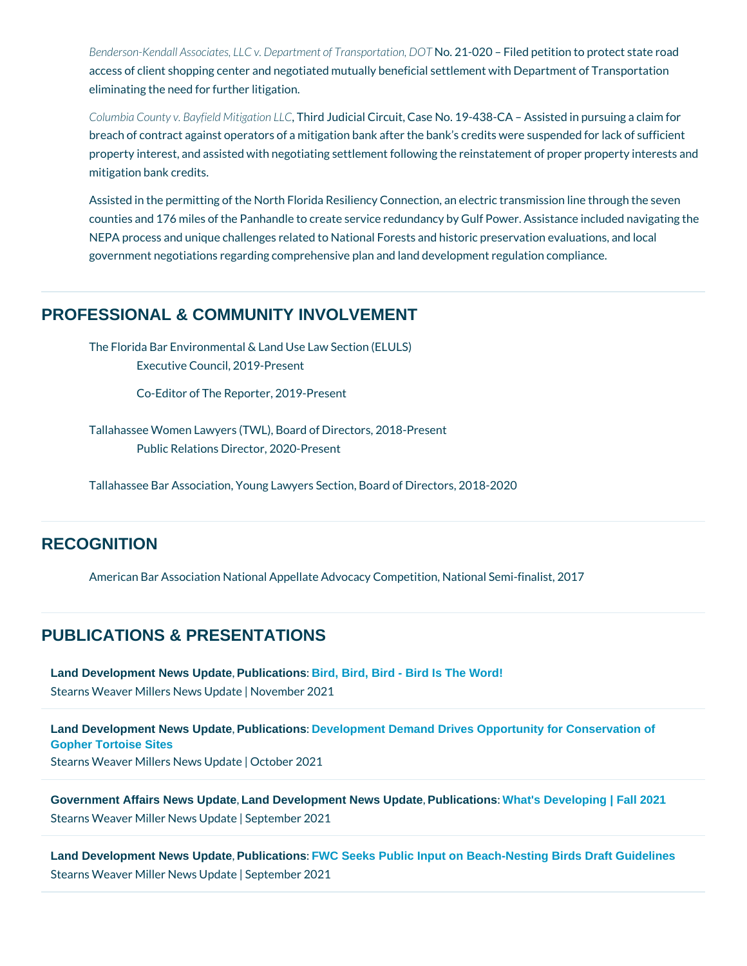Benderson-Kendall Associates, LLC v. DepNaortm2e1n 02001 TrFainlospoloprotatiticom, tDoOpTrotec access of client shopping center and negotiated mutually beneficial settlement eliminating the need for further litigation.

Columbia County v. Bayfield Mitigraticial LC Couit, Case No. 19-438-CA Assiste breach of contract against operators of a mitigation bank after the bank s cred property interest, and assisted with negotiating settlement following the reinst mitigation bank credits.

Assisted in the permitting of the North Florida Resiliency Connection, an elect counties and 176 miles of the Panhandle to create service redundancy by Gulf NEPA process and unique challenges related to National Forests and historic preservation evaluation evaluation government negotiations regarding comprehensive plan and land development i

#### PROFESSIONAL & COMMUNITY INVOLVEMENT

The Florida Bar Environmental & Land Use Law Section (ELULS) Executive Council, 2019-Present

Co-Editor of The Reporter, 2019-Present

Tallahassee Women Lawyers (TWL), Board of Directors, 2018-Present Public Relations Director, 2020-Present

Tallahassee Bar Association, Young Lawyers Section, Board of Directors, 2018-2020

## **RECOGNITION**

American Bar Association National Appellate Advocacy Competition, National S

#### PUBLICATIONS & PRESENTATIONS

[Land Development News Update](/blog/category/recent-updates/) Publications [: Bird, Bird, Bird - Bird Is The Word!](https://conta.cc/3q1Hgnw) Stearns Weaver Millers | Neow se rbl bp ed ra 2e0 21

[Land Development News Update](/blog/category/recent-updates/) [, Publications](/blog/category/publications/) [: Development Demand Drives Opportunity for Conservation of](https://conta.cc/30bn5Zj)  [Gopher Tortoise Sites](https://conta.cc/30bn5Zj) Stearns Weaver Millers | Neaw oblepd2a0t 281

[Government Affairs News Update](/blog/category/government-affairs-news-updates/) Land Development News Update Publications [: What's Developing | Fall 2021](https://conta.cc/3i72Ged) Stearns Weaver Miller NSewpsteUnpblate 2021

[Land Development News Update](/blog/category/recent-updates/) [, Publications](/blog/category/publications/) [: FWC Seeks Public Input on Beach-Nesting Birds Draft Guidelines](https://conta.cc/3nWUUXQ) Stearns Weaver Miller NSewpsteUnplotente 2021